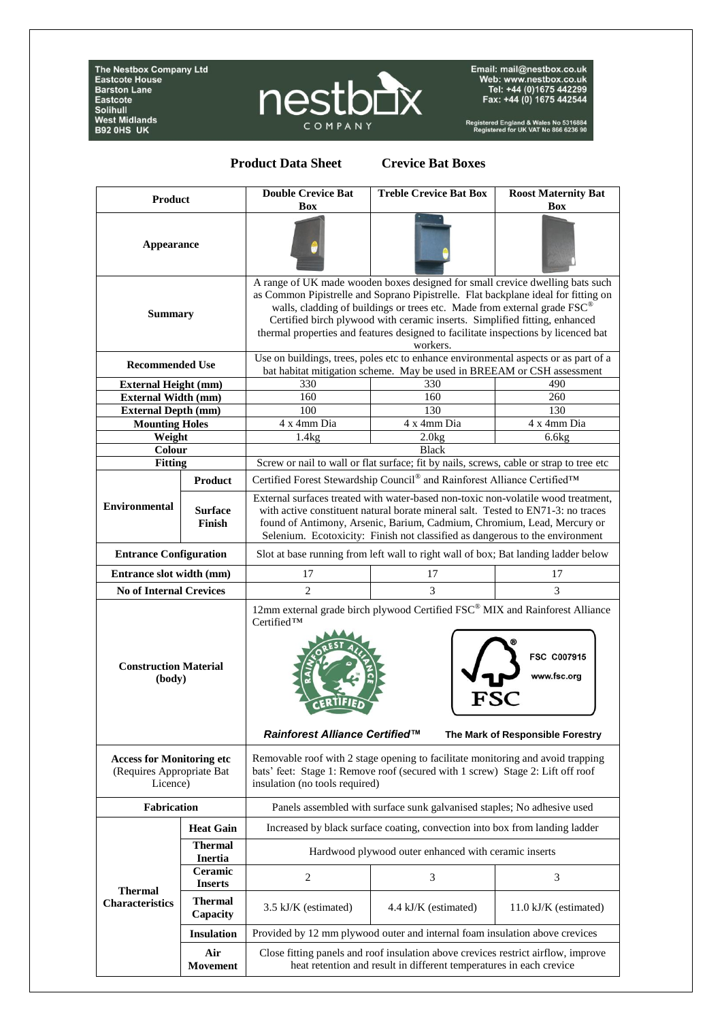The Nestbox Company Ltd<br>Eastcote House<br>Barston Lane **Eastcon Lane**<br>Eastcote<br>Solihull<br>West Midlands<br>B92 0HS UK



Email: mail@nestbox.co.uk<br>Web: www.nestbox.co.uk<br>Tel: +44 (0)1675 442299<br>Fax: +44 (0) 1675 442544

Registered England & Wales No 5316884<br>Registered for UK VAT No 866 6236 90

## **Product Data Sheet Crevice Bat Boxes**

| Product                                                                   |                                  | <b>Double Crevice Bat</b><br><b>Box</b>                                                                                                                                                                                                                                                                                                                                                                                                     | <b>Treble Crevice Bat Box</b> | <b>Roost Maternity Bat</b><br>Box |
|---------------------------------------------------------------------------|----------------------------------|---------------------------------------------------------------------------------------------------------------------------------------------------------------------------------------------------------------------------------------------------------------------------------------------------------------------------------------------------------------------------------------------------------------------------------------------|-------------------------------|-----------------------------------|
| <b>Appearance</b>                                                         |                                  |                                                                                                                                                                                                                                                                                                                                                                                                                                             |                               |                                   |
| <b>Summary</b>                                                            |                                  | A range of UK made wooden boxes designed for small crevice dwelling bats such<br>as Common Pipistrelle and Soprano Pipistrelle. Flat backplane ideal for fitting on<br>walls, cladding of buildings or trees etc. Made from external grade FSC <sup>®</sup><br>Certified birch plywood with ceramic inserts. Simplified fitting, enhanced<br>thermal properties and features designed to facilitate inspections by licenced bat<br>workers. |                               |                                   |
| <b>Recommended Use</b>                                                    |                                  | Use on buildings, trees, poles etc to enhance environmental aspects or as part of a<br>bat habitat mitigation scheme. May be used in BREEAM or CSH assessment                                                                                                                                                                                                                                                                               |                               |                                   |
| <b>External Height (mm)</b>                                               |                                  | 330                                                                                                                                                                                                                                                                                                                                                                                                                                         | 330                           | 490                               |
| <b>External Width (mm)</b>                                                |                                  | 160                                                                                                                                                                                                                                                                                                                                                                                                                                         | 160                           | 260                               |
| <b>External Depth (mm)</b>                                                |                                  | 100                                                                                                                                                                                                                                                                                                                                                                                                                                         | 130                           | 130                               |
| <b>Mounting Holes</b>                                                     |                                  | 4 x 4mm Dia                                                                                                                                                                                                                                                                                                                                                                                                                                 | 4 x 4mm Dia                   | 4 x 4mm Dia                       |
| Weight                                                                    |                                  | 1.4kg                                                                                                                                                                                                                                                                                                                                                                                                                                       | 2.0kg                         | 6.6kg                             |
| Colour                                                                    |                                  | <b>Black</b>                                                                                                                                                                                                                                                                                                                                                                                                                                |                               |                                   |
| <b>Fitting</b>                                                            |                                  | Screw or nail to wall or flat surface; fit by nails, screws, cable or strap to tree etc                                                                                                                                                                                                                                                                                                                                                     |                               |                                   |
| <b>Environmental</b>                                                      | <b>Product</b>                   | Certified Forest Stewardship Council® and Rainforest Alliance Certified™                                                                                                                                                                                                                                                                                                                                                                    |                               |                                   |
|                                                                           | <b>Surface</b><br>Finish         | External surfaces treated with water-based non-toxic non-volatile wood treatment.<br>with active constituent natural borate mineral salt. Tested to EN71-3: no traces<br>found of Antimony, Arsenic, Barium, Cadmium, Chromium, Lead, Mercury or<br>Selenium. Ecotoxicity: Finish not classified as dangerous to the environment                                                                                                            |                               |                                   |
| <b>Entrance Configuration</b>                                             |                                  | Slot at base running from left wall to right wall of box; Bat landing ladder below                                                                                                                                                                                                                                                                                                                                                          |                               |                                   |
| Entrance slot width (mm)                                                  |                                  | 17                                                                                                                                                                                                                                                                                                                                                                                                                                          | 17                            | 17                                |
| <b>No of Internal Crevices</b>                                            |                                  | $\overline{2}$                                                                                                                                                                                                                                                                                                                                                                                                                              | 3                             | 3                                 |
| <b>Construction Material</b><br>(body)                                    |                                  | 12mm external grade birch plywood Certified FSC® MIX and Rainforest Alliance<br>Certified™<br>FSC C007915<br>www.fsc.org                                                                                                                                                                                                                                                                                                                    |                               |                                   |
|                                                                           |                                  | Rainforest Alliance Certified™                                                                                                                                                                                                                                                                                                                                                                                                              |                               | The Mark of Responsible Forestry  |
| <b>Access for Monitoring etc</b><br>(Requires Appropriate Bat<br>Licence) |                                  | Removable roof with 2 stage opening to facilitate monitoring and avoid trapping<br>bats' feet: Stage 1: Remove roof (secured with 1 screw) Stage 2: Lift off roof<br>insulation (no tools required)                                                                                                                                                                                                                                         |                               |                                   |
| <b>Fabrication</b>                                                        |                                  | Panels assembled with surface sunk galvanised staples; No adhesive used                                                                                                                                                                                                                                                                                                                                                                     |                               |                                   |
|                                                                           | <b>Heat Gain</b>                 | Increased by black surface coating, convection into box from landing ladder                                                                                                                                                                                                                                                                                                                                                                 |                               |                                   |
| <b>Thermal</b><br><b>Characteristics</b>                                  | Thermal<br><b>Inertia</b>        | Hardwood plywood outer enhanced with ceramic inserts                                                                                                                                                                                                                                                                                                                                                                                        |                               |                                   |
|                                                                           | <b>Ceramic</b><br><b>Inserts</b> | $\overline{c}$                                                                                                                                                                                                                                                                                                                                                                                                                              | 3                             | 3                                 |
|                                                                           | <b>Thermal</b><br>Capacity       | 3.5 kJ/K (estimated)                                                                                                                                                                                                                                                                                                                                                                                                                        | 4.4 kJ/K (estimated)          | $11.0 \text{ kJ/K}$ (estimated)   |
|                                                                           | <b>Insulation</b>                | Provided by 12 mm plywood outer and internal foam insulation above crevices                                                                                                                                                                                                                                                                                                                                                                 |                               |                                   |
|                                                                           | Air<br>Movement                  | Close fitting panels and roof insulation above crevices restrict airflow, improve<br>heat retention and result in different temperatures in each crevice                                                                                                                                                                                                                                                                                    |                               |                                   |